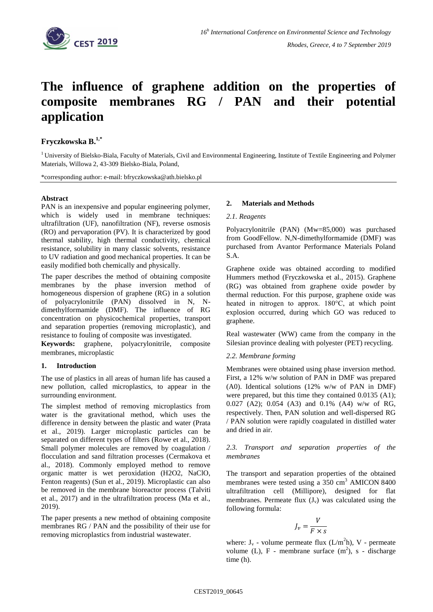

# **The influence of graphene addition on the properties of composite membranes RG / PAN and their potential application**

## **Fryczkowska B.1,\***

 $1$ University of Bielsko-Biala, Faculty of Materials, Civil and Environmental Engineering, Institute of Textile Engineering and Polymer Materials, Willowa 2, 43-309 Bielsko-Biala, Poland,

\*corresponding author: e-mail: [bfryczkowska@ath.bielsko.pl](mailto:bfryczkowska@ath.bielsko.pl)

## **Abstract**

PAN is an inexpensive and popular engineering polymer, which is widely used in membrane techniques: ultrafiltration (UF), nanofiltration (NF), reverse osmosis (RO) and pervaporation (PV). It is characterized by good thermal stability, high thermal conductivity, chemical resistance, solubility in many classic solvents, resistance to UV radiation and good mechanical properties. It can be easily modified both chemically and physically.

The paper describes the method of obtaining composite membranes by the phase inversion method of homogeneous dispersion of graphene (RG) in a solution of polyacrylonitrile (PAN) dissolved in N, Ndimethylformamide (DMF). The influence of RG concentration on physicochemical properties, transport and separation properties (removing microplastic), and resistance to fouling of composite was investigated.

**Keywords:** graphene, polyacrylonitrile, composite membranes, microplastic

### **1. Introduction**

The use of plastics in all areas of human life has caused a new pollution, called microplastics, to appear in the surrounding environment.

The simplest method of removing microplastics from water is the gravitational method, which uses the difference in density between the plastic and water (Prata et al., 2019). Larger microplastic particles can be separated on different types of filters (Rowe et al., 2018). Small polymer molecules are removed by coagulation / flocculation and sand filtration processes (Cermakova et al., 2018). Commonly employed method to remove organic matter is wet peroxidation (H2O2, NaClO, Fenton reagents) (Sun et al., 2019). Microplastic can also be removed in the membrane bioreactor process (Talviti et al., 2017) and in the ultrafiltration process (Ma et al., 2019).

The paper presents a new method of obtaining composite membranes RG / PAN and the possibility of their use for removing microplastics from industrial wastewater.

## **2. Materials and Methods**

#### *2.1. Reagents*

Polyacrylonitrile (PAN) (Mw=85,000) was purchased from GoodFellow. N,N-dimethylformamide (DMF) was purchased from Avantor Performance Materials Poland S.A.

Graphene oxide was obtained according to modified Hummers method (Fryczkowska et al., 2015). Graphene (RG) was obtained from graphene oxide powder by thermal reduction. For this purpose, graphene oxide was heated in nitrogen to approx. 180°C, at which point explosion occurred, during which GO was reduced to graphene.

Real wastewater (WW) came from the company in the Silesian province dealing with polyester (PET) recycling.

### *2.2. Membrane forming*

Membranes were obtained using phase inversion method. First, a 12% w/w solution of PAN in DMF was prepared (A0). Identical solutions (12% w/w of PAN in DMF) were prepared, but this time they contained 0.0135 (A1); 0.027 (A2); 0.054 (A3) and 0.1% (A4) w/w of RG, respectively. Then, PAN solution and well-dispersed RG / PAN solution were rapidly coagulated in distilled water and dried in air.

*2.3. Transport and separation properties of the membranes*

The transport and separation properties of the obtained membranes were tested using a  $350 \text{ cm}^3$  AMICON 8400 ultrafiltration cell (Millipore), designed for flat membranes. Permeate flux  $(J_v)$  was calculated using the following formula:

$$
J_v = \frac{V}{F \times s}
$$

where:  $J_v$  - volume permeate flux ( $L/m<sup>2</sup>h$ ), V - permeate volume (L),  $F$  - membrane surface  $(m^2)$ , s - discharge time (h).